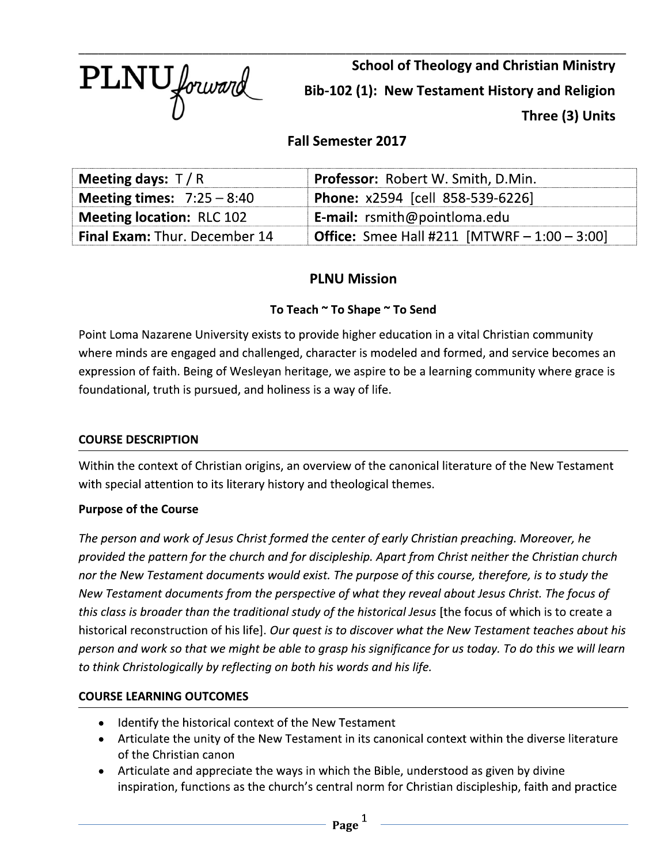PLNU forward

**School of Theology and Christian Ministry** Bib-102 (1): New Testament History and Religion Three (3) Units

# **Fall Semester 2017**

| Meeting days: $T/R$                  | Professor: Robert W. Smith, D.Min.                     |  |  |
|--------------------------------------|--------------------------------------------------------|--|--|
| <b>Meeting times:</b> $7:25 - 8:40$  | <b>Phone: x2594 [cell 858-539-6226]</b>                |  |  |
| <b>Meeting location: RLC 102</b>     | <b>E-mail:</b> rsmith@pointloma.edu                    |  |  |
| <b>Final Exam: Thur. December 14</b> | <b>Office:</b> Smee Hall #211 [MTWRF $- 1:00 - 3:00$ ] |  |  |

# **PLNU Mission**

## To Teach ~ To Shape ~ To Send

Point Loma Nazarene University exists to provide higher education in a vital Christian community where minds are engaged and challenged, character is modeled and formed, and service becomes an expression of faith. Being of Wesleyan heritage, we aspire to be a learning community where grace is foundational, truth is pursued, and holiness is a way of life.

## **COURSE DESCRIPTION**

Within the context of Christian origins, an overview of the canonical literature of the New Testament with special attention to its literary history and theological themes.

#### **Purpose of the Course**

The person and work of Jesus Christ formed the center of early Christian preaching. Moreover, he provided the pattern for the church and for discipleship. Apart from Christ neither the Christian church nor the New Testament documents would exist. The purpose of this course, therefore, is to study the New Testament documents from the perspective of what they reveal about Jesus Christ. The focus of this class is broader than the traditional study of the historical Jesus [the focus of which is to create a historical reconstruction of his life]. Our quest is to discover what the New Testament teaches about his person and work so that we might be able to grasp his significance for us today. To do this we will learn to think Christologically by reflecting on both his words and his life.

## **COURSE LEARNING OUTCOMES**

- Identify the historical context of the New Testament
- Articulate the unity of the New Testament in its canonical context within the diverse literature of the Christian canon
- Articulate and appreciate the ways in which the Bible, understood as given by divine inspiration, functions as the church's central norm for Christian discipleship, faith and practice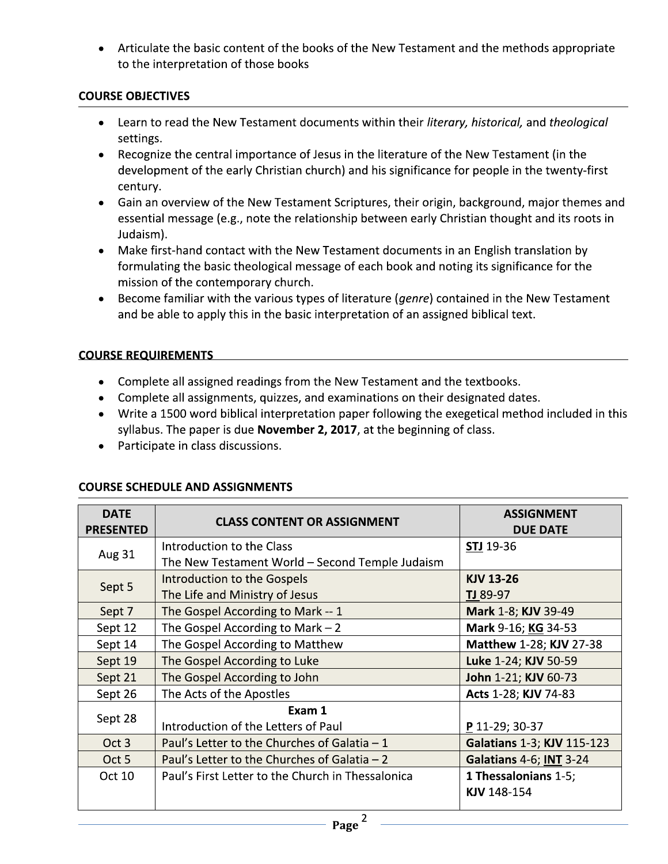Articulate the basic content of the books of the New Testament and the methods appropriate to the interpretation of those books

## **COURSE OBJECTIVES**

- Learn to read the New Testament documents within their literary, historical, and theological settings.
- Recognize the central importance of Jesus in the literature of the New Testament (in the development of the early Christian church) and his significance for people in the twenty-first century.
- Gain an overview of the New Testament Scriptures, their origin, background, major themes and essential message (e.g., note the relationship between early Christian thought and its roots in Judaism).
- Make first-hand contact with the New Testament documents in an English translation by formulating the basic theological message of each book and noting its significance for the mission of the contemporary church.
- Become familiar with the various types of literature (genre) contained in the New Testament  $\bullet$ and be able to apply this in the basic interpretation of an assigned biblical text.

### **COURSE REQUIREMENTS**

- Complete all assigned readings from the New Testament and the textbooks.
- Complete all assignments, quizzes, and examinations on their designated dates.
- Write a 1500 word biblical interpretation paper following the exegetical method included in this syllabus. The paper is due November 2, 2017, at the beginning of class.
- Participate in class discussions.

| <b>DATE</b><br><b>PRESENTED</b> | <b>CLASS CONTENT OR ASSIGNMENT</b>                | <b>ASSIGNMENT</b><br><b>DUE DATE</b> |
|---------------------------------|---------------------------------------------------|--------------------------------------|
| Aug 31                          | Introduction to the Class                         | <b>STJ</b> 19-36                     |
|                                 | The New Testament World - Second Temple Judaism   |                                      |
| Sept 5                          | Introduction to the Gospels                       | <b>KJV 13-26</b>                     |
|                                 | The Life and Ministry of Jesus                    | TJ 89-97                             |
| Sept 7                          | The Gospel According to Mark -- 1                 | Mark 1-8; KJV 39-49                  |
| Sept 12                         | The Gospel According to Mark $-2$                 | Mark 9-16; KG 34-53                  |
| Sept 14                         | The Gospel According to Matthew                   | Matthew 1-28; KJV 27-38              |
| Sept 19                         | The Gospel According to Luke                      | Luke 1-24; KJV 50-59                 |
| Sept 21                         | The Gospel According to John                      | John 1-21; KJV 60-73                 |
| Sept 26                         | The Acts of the Apostles                          | Acts 1-28; KJV 74-83                 |
| Sept 28                         | Exam 1                                            |                                      |
|                                 | Introduction of the Letters of Paul               | P 11-29; 30-37                       |
| Oct 3                           | Paul's Letter to the Churches of Galatia $-1$     | <b>Galatians 1-3; KJV 115-123</b>    |
| Oct 5                           | Paul's Letter to the Churches of Galatia $-2$     | Galatians 4-6; INT 3-24              |
| Oct 10                          | Paul's First Letter to the Church in Thessalonica | <b>1 Thessalonians 1-5;</b>          |
|                                 |                                                   | KJV 148-154                          |
|                                 |                                                   |                                      |

# **COURSE SCHEDULE AND ASSIGNMENTS**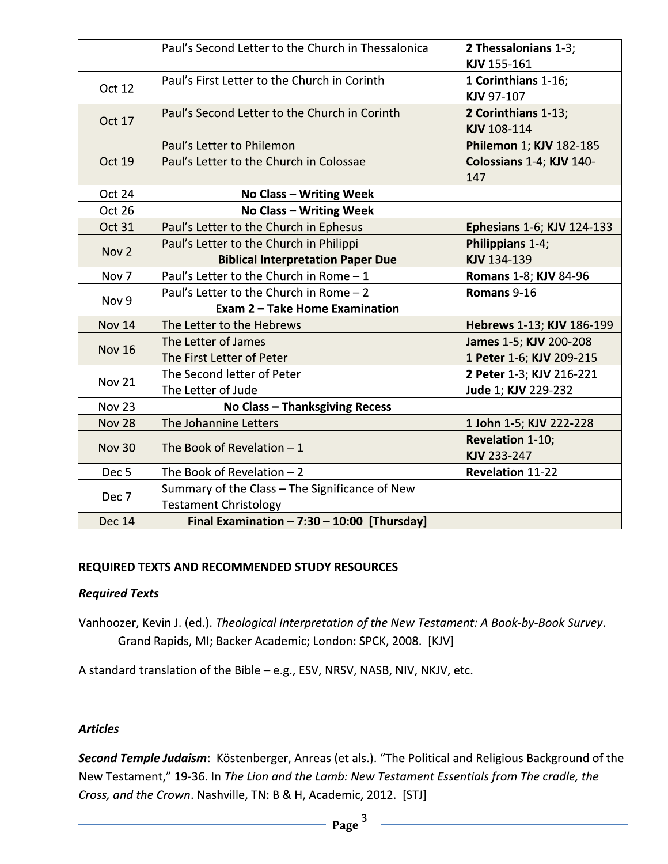|                  | Paul's Second Letter to the Church in Thessalonica                   | 2 Thessalonians 1-3;<br>KJV 155-161                        |  |  |
|------------------|----------------------------------------------------------------------|------------------------------------------------------------|--|--|
| <b>Oct 12</b>    | Paul's First Letter to the Church in Corinth                         | 1 Corinthians 1-16;<br>KJV 97-107                          |  |  |
| <b>Oct 17</b>    | Paul's Second Letter to the Church in Corinth                        | 2 Corinthians 1-13;<br>KJV 108-114                         |  |  |
| Oct 19           | Paul's Letter to Philemon<br>Paul's Letter to the Church in Colossae | Philemon 1; KJV 182-185<br>Colossians 1-4; KJV 140-<br>147 |  |  |
| Oct 24           | <b>No Class - Writing Week</b>                                       |                                                            |  |  |
| Oct 26           | <b>No Class - Writing Week</b>                                       |                                                            |  |  |
| <b>Oct 31</b>    | Paul's Letter to the Church in Ephesus                               | <b>Ephesians 1-6; KJV 124-133</b>                          |  |  |
| Nov <sub>2</sub> | Paul's Letter to the Church in Philippi                              | Philippians 1-4;                                           |  |  |
|                  | <b>Biblical Interpretation Paper Due</b>                             | KJV 134-139                                                |  |  |
| Nov <sub>7</sub> | Paul's Letter to the Church in Rome $-1$                             | <b>Romans 1-8; KJV 84-96</b>                               |  |  |
| Nov 9            | Paul's Letter to the Church in Rome $-2$                             | Romans 9-16                                                |  |  |
|                  | <b>Exam 2 - Take Home Examination</b>                                |                                                            |  |  |
| <b>Nov 14</b>    | The Letter to the Hebrews                                            | Hebrews 1-13; KJV 186-199                                  |  |  |
| <b>Nov 16</b>    | The Letter of James                                                  | James 1-5; KJV 200-208                                     |  |  |
|                  | The First Letter of Peter                                            | 1 Peter 1-6; KJV 209-215                                   |  |  |
| <b>Nov 21</b>    | The Second letter of Peter                                           | 2 Peter 1-3; KJV 216-221                                   |  |  |
|                  | The Letter of Jude                                                   | Jude 1; KJV 229-232                                        |  |  |
| <b>Nov 23</b>    | <b>No Class - Thanksgiving Recess</b>                                |                                                            |  |  |
| <b>Nov 28</b>    | The Johannine Letters                                                | 1 John 1-5; KJV 222-228                                    |  |  |
| <b>Nov 30</b>    | The Book of Revelation $-1$                                          | <b>Revelation 1-10;</b>                                    |  |  |
|                  |                                                                      | KJV 233-247                                                |  |  |
| Dec <sub>5</sub> | The Book of Revelation $-2$                                          | <b>Revelation 11-22</b>                                    |  |  |
| Dec 7            | Summary of the Class - The Significance of New                       |                                                            |  |  |
|                  | <b>Testament Christology</b>                                         |                                                            |  |  |
| Dec 14           | Final Examination $-7:30 - 10:00$ [Thursday]                         |                                                            |  |  |

#### REQUIRED TEXTS AND RECOMMENDED STUDY RESOURCES

#### **Required Texts**

Vanhoozer, Kevin J. (ed.). Theological Interpretation of the New Testament: A Book-by-Book Survey. Grand Rapids, MI; Backer Academic; London: SPCK, 2008. [KJV]

A standard translation of the Bible - e.g., ESV, NRSV, NASB, NIV, NKJV, etc.

#### **Articles**

Second Temple Judaism: Köstenberger, Anreas (et als.). "The Political and Religious Background of the New Testament," 19-36. In The Lion and the Lamb: New Testament Essentials from The cradle, the Cross, and the Crown. Nashville, TN: B & H, Academic, 2012. [STJ]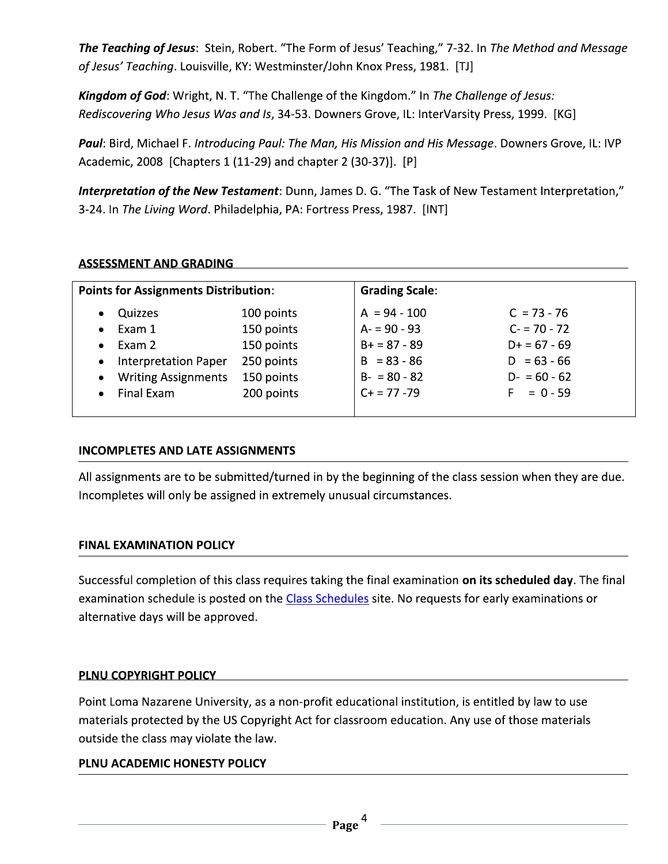The Teaching of Jesus: Stein, Robert. "The Form of Jesus' Teaching," 7-32. In The Method and Message of Jesus' Teaching. Louisville, KY: Westminster/John Knox Press, 1981. [TJ]

Kingdom of God: Wright, N. T. "The Challenge of the Kingdom." In The Challenge of Jesus: Rediscovering Who Jesus Was and Is, 34-53. Downers Grove, IL: InterVarsity Press, 1999. [KG]

Paul: Bird, Michael F. Introducing Paul: The Man, His Mission and His Message. Downers Grove, IL: IVP Academic, 2008 [Chapters 1 (11-29) and chapter 2 (30-37)]. [P]

Interpretation of the New Testament: Dunn, James D. G. "The Task of New Testament Interpretation," 3-24. In The Living Word. Philadelphia, PA: Fortress Press, 1987. [INT]

### **ASSESSMENT AND GRADING**

| <b>Points for Assignments Distribution:</b> |            | <b>Grading Scale:</b> |                  |  |
|---------------------------------------------|------------|-----------------------|------------------|--|
| Quizzes<br>$\bullet$                        | 100 points | $A = 94 - 100$        | $C = 73 - 76$    |  |
| Exam 1<br>$\bullet$                         | 150 points | $A = 90 - 93$         | $C = 70 - 72$    |  |
| Exam 2<br>$\bullet$                         | 150 points | $B+ = 87 - 89$        | $D+ = 67 - 69$   |  |
| <b>Interpretation Paper</b><br>$\bullet$    | 250 points | $B = 83 - 86$         | $D = 63 - 66$    |  |
| <b>Writing Assignments</b><br>$\bullet$     | 150 points | $B - 80 - 82$         | $D - 60 - 62$    |  |
| Final Exam<br>$\bullet$                     | 200 points | $C + 77 - 79$         | $= 0 - 59$<br>E. |  |

## **INCOMPLETES AND LATE ASSIGNMENTS**

All assignments are to be submitted/turned in by the beginning of the class session when they are due. Incompletes will only be assigned in extremely unusual circumstances.

#### **FINAL EXAMINATION POLICY**

Successful completion of this class requires taking the final examination on its scheduled day. The final examination schedule is posted on the Class Schedules site. No requests for early examinations or alternative days will be approved.

#### PLNU COPYRIGHT POLICY

Point Loma Nazarene University, as a non-profit educational institution, is entitled by law to use materials protected by the US Copyright Act for classroom education. Any use of those materials outside the class may violate the law.

## PLNU ACADEMIC HONESTY POLICY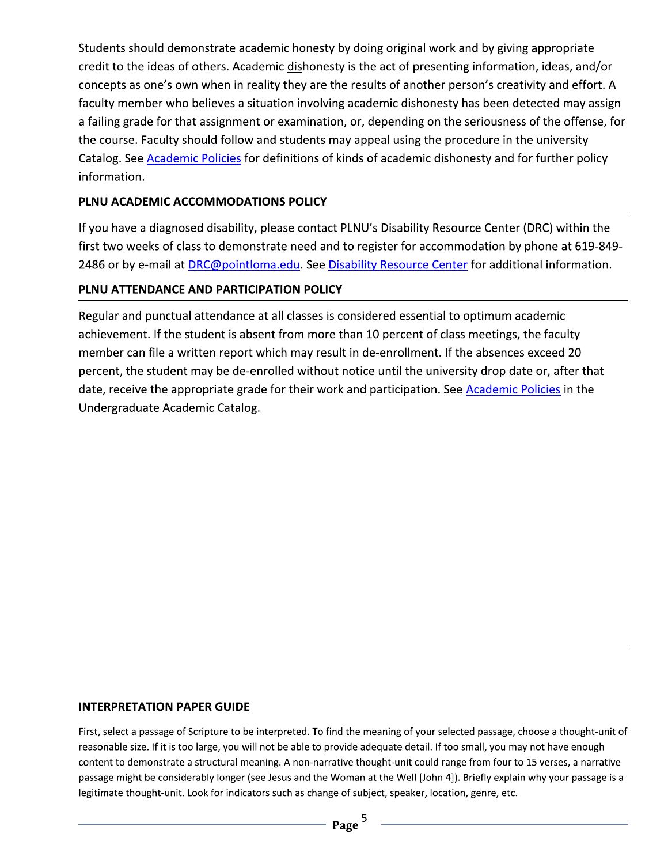Students should demonstrate academic honesty by doing original work and by giving appropriate credit to the ideas of others. Academic dishonesty is the act of presenting information, ideas, and/or concepts as one's own when in reality they are the results of another person's creativity and effort. A faculty member who believes a situation involving academic dishonesty has been detected may assign a failing grade for that assignment or examination, or, depending on the seriousness of the offense, for the course. Faculty should follow and students may appeal using the procedure in the university Catalog. See Academic Policies for definitions of kinds of academic dishonesty and for further policy information.

## PLNU ACADEMIC ACCOMMODATIONS POLICY

If you have a diagnosed disability, please contact PLNU's Disability Resource Center (DRC) within the first two weeks of class to demonstrate need and to register for accommodation by phone at 619-849-2486 or by e-mail at DRC@pointloma.edu. See Disability Resource Center for additional information.

## PLNU ATTENDANCE AND PARTICIPATION POLICY

Regular and punctual attendance at all classes is considered essential to optimum academic achievement. If the student is absent from more than 10 percent of class meetings, the faculty member can file a written report which may result in de-enrollment. If the absences exceed 20 percent, the student may be de-enrolled without notice until the university drop date or, after that date, receive the appropriate grade for their work and participation. See Academic Policies in the Undergraduate Academic Catalog.

#### **INTERPRETATION PAPER GUIDE**

First, select a passage of Scripture to be interpreted. To find the meaning of your selected passage, choose a thought-unit of reasonable size. If it is too large, you will not be able to provide adequate detail. If too small, you may not have enough content to demonstrate a structural meaning. A non-narrative thought-unit could range from four to 15 verses, a narrative passage might be considerably longer (see Jesus and the Woman at the Well [John 4]). Briefly explain why your passage is a legitimate thought-unit. Look for indicators such as change of subject, speaker, location, genre, etc.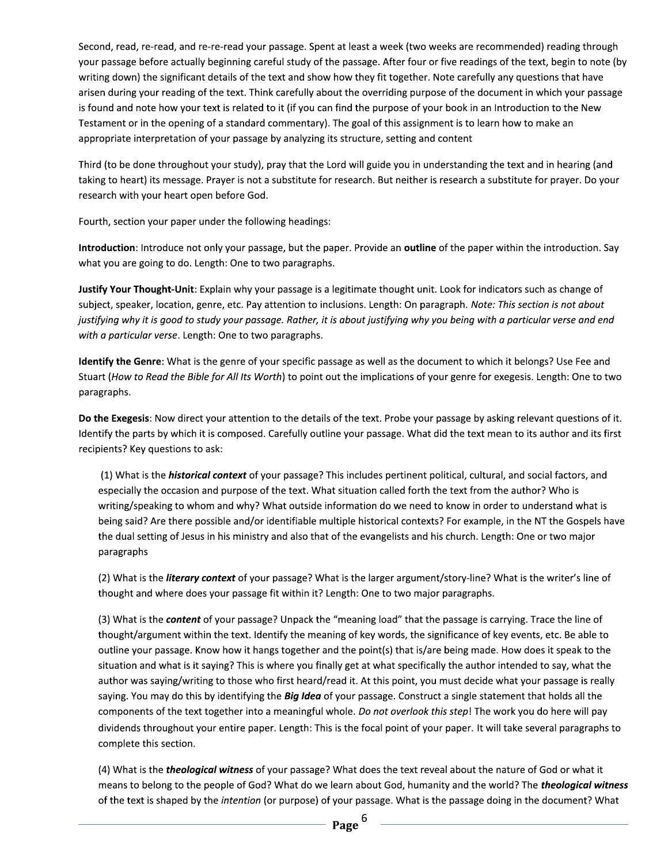Second, read, re-read, and re-re-read your passage. Spent at least a week (two weeks are recommended) reading through your passage before actually beginning careful study of the passage. After four or five readings of the text, begin to note (by writing down) the significant details of the text and show how they fit together. Note carefully any questions that have arisen during your reading of the text. Think carefully about the overriding purpose of the document in which your passage is found and note how your text is related to it (if you can find the purpose of your book in an Introduction to the New Testament or in the opening of a standard commentary). The goal of this assignment is to learn how to make an appropriate interpretation of your passage by analyzing its structure, setting and content

Third (to be done throughout your study), pray that the Lord will guide you in understanding the text and in hearing (and taking to heart) its message. Prayer is not a substitute for research. But neither is research a substitute for prayer. Do your research with your heart open before God.

Fourth, section your paper under the following headings:

Introduction: Introduce not only your passage, but the paper. Provide an outline of the paper within the introduction. Say what you are going to do. Length: One to two paragraphs.

Justify Your Thought-Unit: Explain why your passage is a legitimate thought unit. Look for indicators such as change of subject, speaker, location, genre, etc. Pay attention to inclusions. Length: On paragraph. Note: This section is not about justifying why it is good to study your passage. Rather, it is about justifying why you being with a particular verse and end with a particular verse. Length: One to two paragraphs.

Identify the Genre: What is the genre of your specific passage as well as the document to which it belongs? Use Fee and Stuart (How to Read the Bible for All Its Worth) to point out the implications of your genre for exegesis. Length: One to two paragraphs.

Do the Exegesis: Now direct your attention to the details of the text. Probe your passage by asking relevant questions of it. Identify the parts by which it is composed. Carefully outline your passage. What did the text mean to its author and its first recipients? Key questions to ask:

(1) What is the *historical context* of your passage? This includes pertinent political, cultural, and social factors, and especially the occasion and purpose of the text. What situation called forth the text from the author? Who is writing/speaking to whom and why? What outside information do we need to know in order to understand what is being said? Are there possible and/or identifiable multiple historical contexts? For example, in the NT the Gospels have the dual setting of Jesus in his ministry and also that of the evangelists and his church. Length: One or two major paragraphs

(2) What is the *literary context* of your passage? What is the larger argument/story-line? What is the writer's line of thought and where does your passage fit within it? Length: One to two major paragraphs.

(3) What is the **content** of your passage? Unpack the "meaning load" that the passage is carrying. Trace the line of thought/argument within the text. Identify the meaning of key words, the significance of key events, etc. Be able to outline your passage. Know how it hangs together and the point(s) that is/are being made. How does it speak to the situation and what is it saying? This is where you finally get at what specifically the author intended to say, what the author was saying/writing to those who first heard/read it. At this point, you must decide what your passage is really saying. You may do this by identifying the *Big Idea* of your passage. Construct a single statement that holds all the components of the text together into a meaningful whole. Do not overlook this step! The work you do here will pay dividends throughout your entire paper. Length: This is the focal point of your paper. It will take several paragraphs to complete this section.

(4) What is the *theological witness* of your passage? What does the text reveal about the nature of God or what it means to belong to the people of God? What do we learn about God, humanity and the world? The *theological witness* of the text is shaped by the intention (or purpose) of your passage. What is the passage doing in the document? What